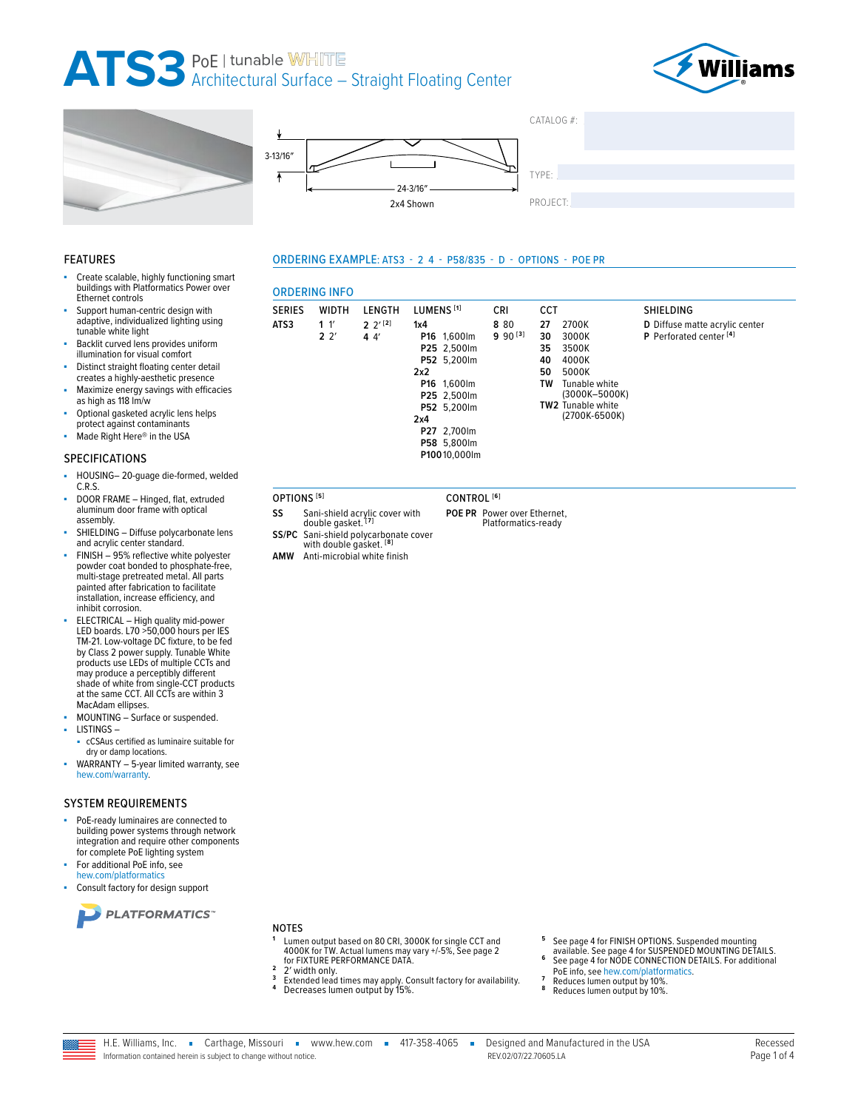## ATS3 PoE | tunable WHITE<br>ATS3 Architectural Surface - Straight Floating Center

**ORDERING INFO** 

 $1<sup>1</sup>$ 

 $2<sup>2</sup>$ 

**SERIES** 

ATS3

ςς

SS/PC







ORDERING EXAMPLE: ATS3 - 2 4 - P58/835 - D - OPTIONS - POE PR

### **FEATURES**

- Create scalable, highly functioning smart buildings with Platformatics Power over Ethernet controls
- Support human-centric design with adaptive, individualized lighting using tunable white light
- Backlit curved lens provides uniform illumination for visual comfort
- Distinct straight floating center detail creates a highly-aesthetic presence
- Maximize energy savings with efficacies as high as 118 lm/w
- Optional gasketed acrylic lens helps protect against contaminants
- Made Right Here® in the USA

### **SPECIFICATIONS**

- HOUSING-20-guage die-formed, welded ä,  $CRS$
- DOOR FRAME Hinged, flat, extruded aluminum door frame with optical assembly.
- SHIELDING Diffuse polycarbonate lens and acrylic center standard.
- FINISH 95% reflective white polyester powder coat bonded to phosphate-free, multi-stage pretreated metal. All parts painted after fabrication to facilitate installation, increase efficiency, and inhibit corrosion.
- ELECTRICAL High quality mid-power LED boards. L70 >50,000 hours per IES TM-21. Low-voltage DC fixture, to be fed<br>by Class 2 power supply. Tunable White<br>products use LEDs of multiple CCTs and may produce a perceptibly different shade of white from single-CCT products at the same CCT. All CCTs are within 3 MacAdam ellipses.
- MOUNTING Surface or suspended.
- LISTINGS
	- cCSAus certified as luminaire suitable for dry or damp locations.
- WARRANTY 5-year limited warranty, see ×. hew.com/warranty.

### **SYSTEM REQUIREMENTS**

- PoE-ready luminaires are connected to building power systems through network integration and require other components for complete PoE lighting system
- For additional PoE info, see hew.com/platformatics
- Consult factory for design sup



#### **NOTES**

- Lumen output based on 80 CRI, 3000K for single CCT and<br>4000K for TW. Actual lumens may vary +/-5%, See page 2<br>for FIXTURE PERFORMANCE DATA.
- $\overline{2}$  $\overline{\mathbf{3}}$
- 2' width only.<br>Extended lead times may apply. Consult factory for availability.<br>Decreases lumen output by 15%.
- See page 4 for FINISH OPTIONS. Suspended mounting<br>available. See page 4 for SUSPENDED MOUNTING DETAILS.
- See page 4 for NODE CONNECTION DETAILS. For additional PoE info, see hew.com/platformatics.
- Reduces lumen output by 10%.
- Reduces lumen output by 10%

| oort               |  |  |
|--------------------|--|--|
|                    |  |  |
| <b>W TAS</b><br>ee |  |  |

- CONTROL<sup>[6]</sup> POE PR Power over Ethernet.
	- Platformatics-ready
- **WIDTH** LENGTH LUMENS<sup>[1]</sup> **CCT** SHIELDING **CRI**  $2 \frac{2^{1}[2]}{2}$  $1x4$ 8 80 27 2700K D Diffuse matte acrylic center  $990^{[3]}$  $44'$ P16 1,600lm  $30\,$ 3000K P Perforated center<sup>[4]</sup> P25 2,500lm 35 3500K P52 5,200lm 40 4000K  $2x2$ 50 5000K Tunable white<br>(3000K-5000K) P16 1,600lm TW P25 2,500lm TW2 Tunable white P52 5,200lm (2700K-6500K)  $2x4$ P27 2,700lm P58 5,800lm P10010,000lm
- OPTIONS<sup>[5]</sup> Sani-shield acrylic cover with<br>double gasket.<sup>[7]</sup>

Sani-shield polycarbonate cover<br>with double gasket. [8]

AMW Anti-microbial white finish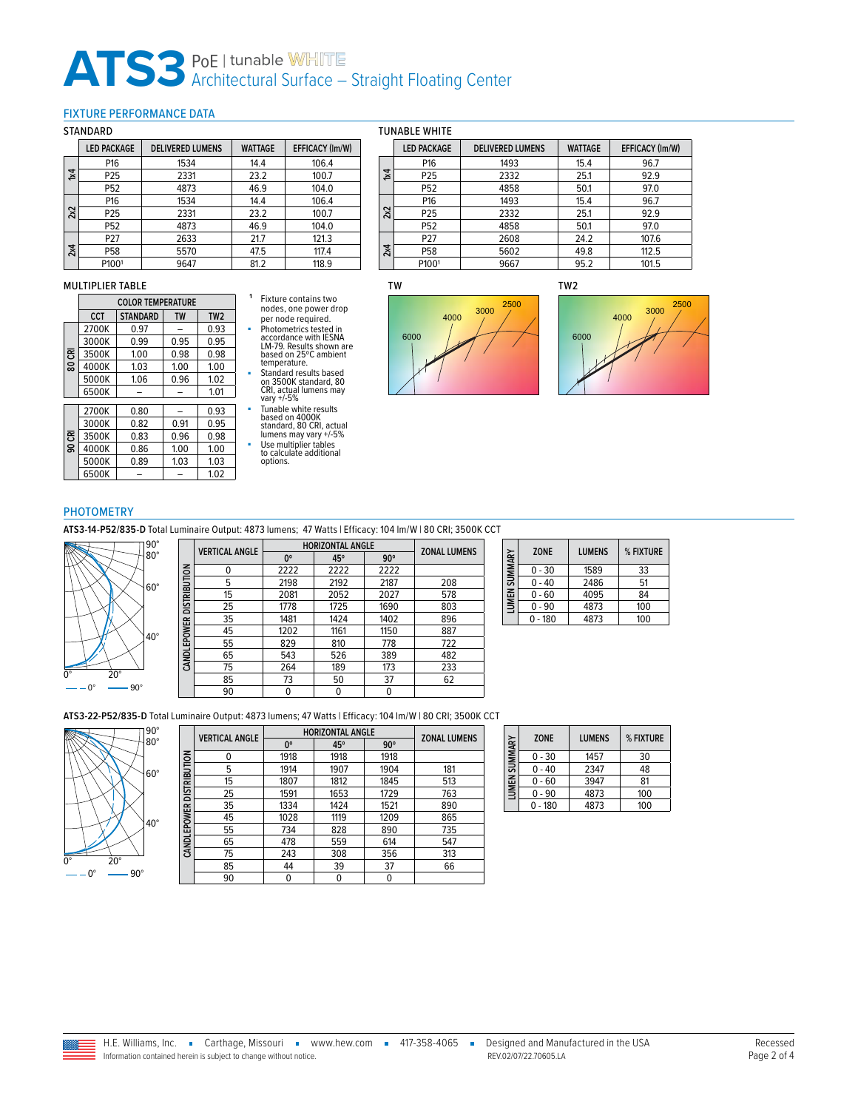## ATS3<sup>PoE | tunable WHITE<br>Architectural Surface – Straight Floating Center</sup>

## <span id="page-1-0"></span>FIXTURE PERFORMANCE DATA

#### **STANDARD**

|     | ,,,,,,,,,,,,       |                         |                |                        |  |  |  |
|-----|--------------------|-------------------------|----------------|------------------------|--|--|--|
|     | <b>LED PACKAGE</b> | <b>DELIVERED LUMENS</b> | <b>WATTAGE</b> | <b>EFFICACY (Im/W)</b> |  |  |  |
|     | P16                | 1534                    | 14.4           | 106.4                  |  |  |  |
| Σđ  | P <sub>25</sub>    | 2331                    | 23.2           | 100.7                  |  |  |  |
|     | P52                | 4873                    | 46.9           | 104.0                  |  |  |  |
|     | P16                | 1534                    | 14.4           | 106.4                  |  |  |  |
| 2x2 | P25                | 2331                    | 23.2           | 100.7                  |  |  |  |
|     | P52                | 4873                    | 46.9           | 104.0                  |  |  |  |
| 2x4 | P <sub>27</sub>    | 2633                    | 21.7           | 121.3                  |  |  |  |
|     | P58                | 5570                    | 47.5           | 117.4                  |  |  |  |
|     | P1001              | 9647                    | 81.2           | 118.9                  |  |  |  |

#### MULTIPLIER TABLE

|    |       | <b>COLOR TEMPERATURE</b> |           |                 |  |  |  |  |
|----|-------|--------------------------|-----------|-----------------|--|--|--|--|
|    | CCT   | <b>STANDARD</b>          | <b>TW</b> | TW <sub>2</sub> |  |  |  |  |
| కె | 2700K | 0.97                     |           | 0.93            |  |  |  |  |
|    | 3000K | 0.99                     | 0.95      | 0.95            |  |  |  |  |
|    | 3500K | 1.00                     | 0.98      | 0.98            |  |  |  |  |
| 80 | 4000K | 1.03                     | 1.00      | 1.00            |  |  |  |  |
|    | 5000K | 1.06                     | 0.96      | 1.02            |  |  |  |  |
|    | 6500K |                          |           | 1.01            |  |  |  |  |
|    | 2700K | 0.80                     |           | 0.93            |  |  |  |  |
|    | 3000K | 0.82                     | 0.91      | 0.95            |  |  |  |  |
| පි | 3500K | 0.83                     | 0.96      | 0.98            |  |  |  |  |
| g  | 4000K | 0.86                     | 1.00      | 1.00            |  |  |  |  |
|    | 5000K | 0.89                     | 1.03      | 1.03            |  |  |  |  |
|    | 6500K |                          |           | 1.02            |  |  |  |  |

## **<sup>1</sup>** Fixture contains two nodes, one power drop per node required.

■ Photometrics tested in accordance with IESNA LM-79. Results shown are based on 25ºC ambient temperature.

- Standard results based<br>
on 3500K standard, 80<br>
cRI, actual lumens may<br>
vary +/-5%<br>
Tunable white results<br>
based on 4000K<br>
standard, 80 CRI, actual<br>
lumens may vary +/-5%
- 
- Use multiplier tables to calculate additional
- options.







## PHOTOMETRY

**ATS3-14-P52/835-D** Total Luminaire Output: 4873 lumens; 47 Watts | Efficacy: 104 lm/W | 80 CRI; 3500K CCT



|                          | <b>VERTICAL ANGLE</b> | <b>HORIZONTAL ANGLE</b> | <b>ZONAL LUMENS</b> |            |     |
|--------------------------|-----------------------|-------------------------|---------------------|------------|-----|
|                          |                       | $0^{\circ}$             | 45°                 | $90^\circ$ |     |
|                          | 0                     | 2222                    | 2222                | 2222       |     |
| CANDLEPOWER DISTRIBUTION | 5                     | 2198                    | 2192                | 2187       | 208 |
|                          | 15                    | 2081                    | 2052                | 2027       | 578 |
|                          | 25                    | 1778                    | 1725                | 1690       | 803 |
|                          | 35                    | 1481                    | 1424                | 1402       | 896 |
|                          | 45                    | 1202                    | 1161                | 1150       | 887 |
|                          | 55                    | 829                     | 810                 | 778        | 722 |
|                          | 65                    | 543                     | 526                 | 389        | 482 |
|                          | 75                    | 264                     | 189                 | 173        | 233 |
|                          | 85                    | 73                      | 50                  | 37         | 62  |
|                          | 90                    | 0                       | 0                   | 0          |     |

|               | <b>ZONE</b> | <b>LUMENS</b> | % FIXTURE |
|---------------|-------------|---------------|-----------|
|               | $0 - 30$    | 1589          | 33        |
| LUMEN SUMMARY | $0 - 40$    | 2486          | 51        |
|               | $0 - 60$    | 4095          | 84        |
|               | 0 - 90      | 4873          | 100       |
|               | - 180       | 4873          | 100       |

**ATS3-22-P52/835-D** Total Luminaire Output: 4873 lumens; 47 Watts | Efficacy: 104 lm/W | 80 CRI; 3500K CCT



|                          | <b>VERTICAL ANGLE</b> | <b>HORIZONTAL ANGLE</b> | <b>ZONAL LUMENS</b> |            |     |
|--------------------------|-----------------------|-------------------------|---------------------|------------|-----|
|                          |                       | 0°                      | 45°                 | $90^\circ$ |     |
|                          | 0                     | 1918                    | 1918                | 1918       |     |
|                          | 5                     | 1914                    | 1907                | 1904       | 181 |
|                          | 15                    | 1807                    | 1812                | 1845       | 513 |
|                          | 25                    | 1591                    | 1653                | 1729       | 763 |
|                          | 35                    | 1334                    | 1424                | 1521       | 890 |
|                          | 45                    | 1028                    | 1119                | 1209       | 865 |
| CANDLEPOWER DISTRIBUTION | 55                    | 734                     | 828                 | 890        | 735 |
|                          | 65                    | 478                     | 559                 | 614        | 547 |
|                          | 75                    | 243                     | 308                 | 356        | 313 |
|                          | 85                    | 44                      | 39                  | 37         | 66  |
|                          | 90                    | 0                       | 0                   | 0          |     |

| LUMEN SUMMARY | <b>ZONE</b> | <b>LUMENS</b> | % FIXTURE |
|---------------|-------------|---------------|-----------|
|               | $0 - 30$    | 1457          | 30        |
|               | $0 - 40$    | 2347          | 48        |
|               | $0 - 60$    | 3947          | 81        |
|               | $0 - 90$    | 4873          | 100       |
|               | $0 - 180$   | 4873          | 100       |

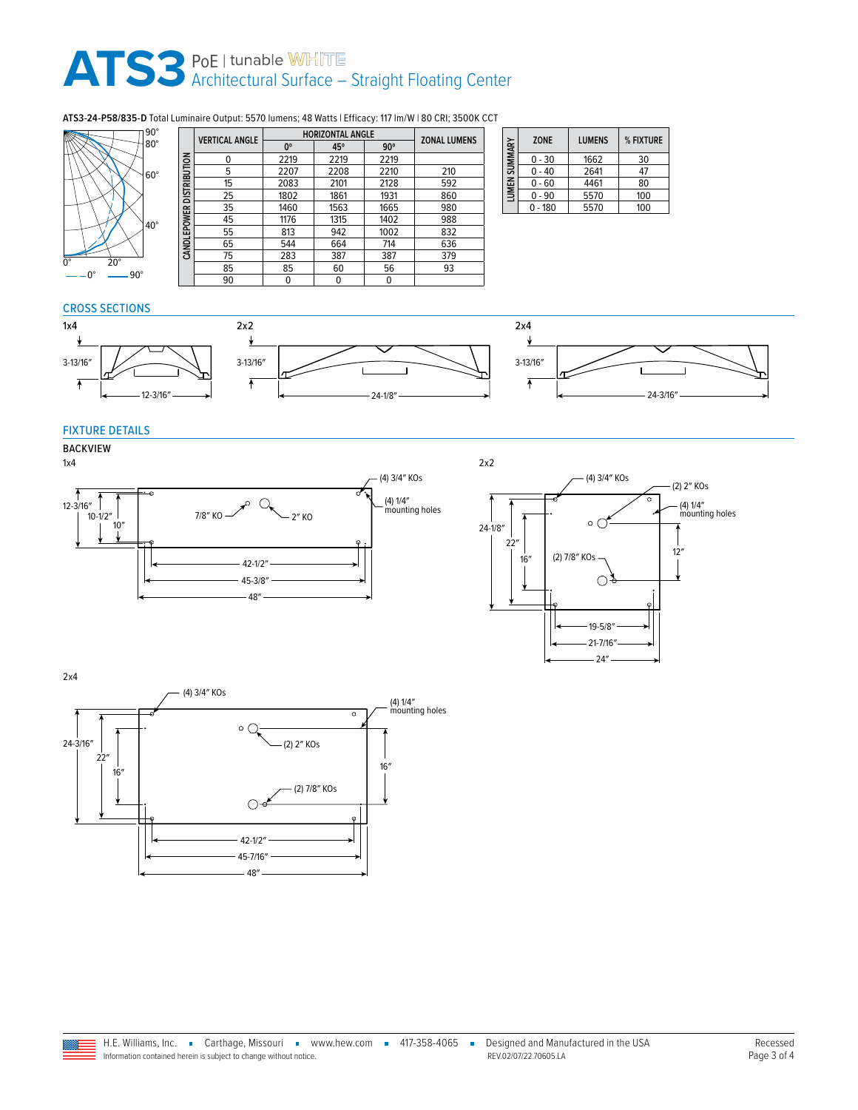# ATS3<sup>PoE | tunable WHITE<br>Architectural Surface – Straight Floating Center</sup>

## **ATS3-24-P58/835-D** Total Luminaire Output: 5570 lumens; 48 Watts | Efficacy: 117 lm/W | 80 CRI; 3500K CCT



|                          | <b>VERTICAL ANGLE</b> | <b>HORIZONTAL ANGLE</b> |      |            |                     |  |
|--------------------------|-----------------------|-------------------------|------|------------|---------------------|--|
|                          |                       | $0^{\circ}$             | 45°  | $90^\circ$ | <b>ZONAL LUMENS</b> |  |
|                          | n                     | 2219                    | 2219 | 2219       |                     |  |
| CANDLEPOWER DISTRIBUTION | 5                     | 2207                    | 2208 | 2210       | 210                 |  |
|                          | 15                    | 2083                    | 2101 | 2128       | 592                 |  |
|                          | 25                    | 1802                    | 1861 | 1931       | 860                 |  |
|                          | 35                    | 1460                    | 1563 | 1665       | 980                 |  |
|                          | 45                    | 1176                    | 1315 | 1402       | 988                 |  |
|                          | 55                    | 813                     | 942  | 1002       | 832                 |  |
|                          | 65                    | 544                     | 664  | 714        | 636                 |  |
|                          | 75                    | 283                     | 387  | 387        | 379                 |  |
|                          | 85                    | 85                      | 60   | 56         | 93                  |  |
|                          | 90                    | 0                       | 0    | 0          |                     |  |

| LUMEN SUMMARY | <b>ZONE</b> | <b>LUMENS</b> | % FIXTURE |
|---------------|-------------|---------------|-----------|
|               | $0 - 30$    | 1662          | 30        |
|               | $0 - 40$    | 2641          | 47        |
|               | $0 - 60$    | 4461          | 80        |
|               | 0 - 90      | 5570          | 100       |
|               | - 180       | 5570          | 100       |

## CROSS SECTIONS





## FIXTURE DETAILS

## BACKVIEW





2x4